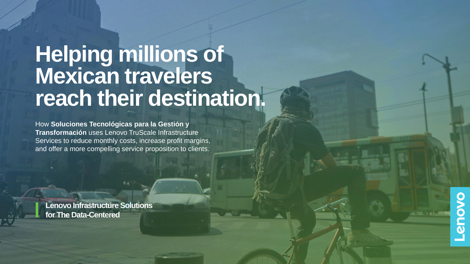## **Helping millions of Mexican travelers reach their destination.**

How **Soluciones Tecnológicas para la Gestión y Transformación** uses Lenovo TruScale Infrastructure Services to reduce monthly costs, increase profit margins, and offer a more compelling service proposition to clients.

**Lenovo Infrastructure Solutions for The Data-Centered** 

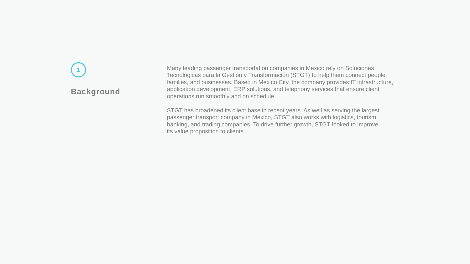# **Background**

**1** Many leading passenger transportation companies in Mexico rely on Soluciones Tecnológicas para la Gestión y Transformación (STGT) to help them connect people, families, and businesses. Based in Mexico City, the company provides IT infrastructure, application development, ERP solutions, and telephony services that ensure client operations run smoothly and on schedule.

STGT has broadened its client base in recent years. As well as serving the largest passenger transport company in Mexico, STGT also works with logistics, tourism, banking, and trading companies. To drive further growth, STGT looked to improve its value proposition to clients.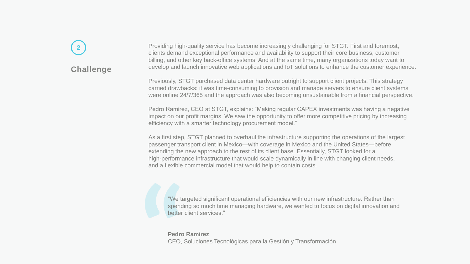## **Challenge 2**

Providing high-quality service has become increasingly challenging for STGT. First and foremost, clients demand exceptional performance and availability to support their core business, customer billing, and other key back-office systems. And at the same time, many organizations today want to develop and launch innovative web applications and IoT solutions to enhance the customer experience.

Previously, STGT purchased data center hardware outright to support client projects. This strategy carried drawbacks: it was time-consuming to provision and manage servers to ensure client systems were online 24/7/365 and the approach was also becoming unsustainable from a financial perspective.

Pedro Ramirez, CEO at STGT, explains: "Making regular CAPEX investments was having a negative impact on our profit margins. We saw the opportunity to offer more competitive pricing by increasing efficiency with a smarter technology procurement model."

As a first step, STGT planned to overhaul the infrastructure supporting the operations of the largest passenger transport client in Mexico—with coverage in Mexico and the United States—before extending the new approach to the rest of its client base. Essentially, STGT looked for a high-performance infrastructure that would scale dynamically in line with changing client needs, and a flexible commercial model that would help to contain costs.

"We targeted significant operational efficiencies with our new infrastructure. Rather than spending so much time managing hardware, we wanted to focus on digital innovation and better client services."

**Pedro Ramirez** CEO, Soluciones Tecnológicas para la Gestión y Transformación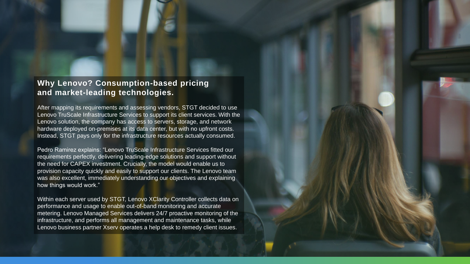#### **Why Lenovo? Consumption-based pricing and market-leading technologies.**

After mapping its requirements and assessing vendors, STGT decided to use Lenovo TruScale Infrastructure Services to support its client services. With the Lenovo solution, the company has access to servers, storage, and network hardware deployed on-premises at its data center, but with no upfront costs. Instead, STGT pays only for the infrastructure resources actually consumed.

Pedro Ramirez explains: "Lenovo TruScale Infrastructure Services fitted our requirements perfectly, delivering leading-edge solutions and support without the need for CAPEX investment. Crucially, the model would enable us to provision capacity quickly and easily to support our clients. The Lenovo team was also excellent, immediately understanding our objectives and explaining how things would work."

Within each server used by STGT, Lenovo XClarity Controller collects data on performance and usage to enable out-of-band monitoring and accurate metering. Lenovo Managed Services delivers 24/7 proactive monitoring of the infrastructure, and performs all management and maintenance tasks, while Lenovo business partner Xserv operates a help desk to remedy client issues.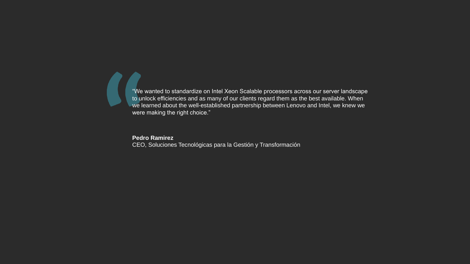"We wanted to standardize on Intel Xeon Scalable processors across our server landscape to unlock efficiencies and as many of our clients regard them as the best available. When we learned about the well-established partnership between Lenovo and Intel, we knew we were making the right choice."

**Pedro Ramirez**

CEO, Soluciones Tecnológicas para la Gestión y Transformación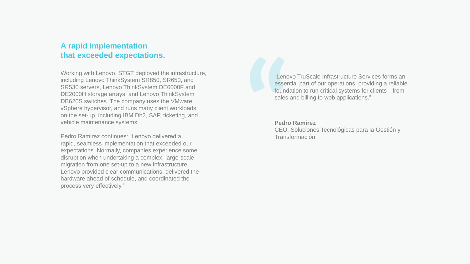#### **A rapid implementation that exceeded expectations.**

Working with Lenovo, STGT deployed the infrastructure, including Lenovo ThinkSystem SR850, SR650, and SR530 servers, Lenovo ThinkSystem DE6000F and DE2000H storage arrays, and Lenovo ThinkSystem DB620S switches. The company uses the VMware vSphere hypervisor, and runs many client workloads on the set-up, including IBM Db2, SAP, ticketing, and vehicle maintenance systems.

Pedro Ramirez continues: "Lenovo delivered a rapid, seamless implementation that exceeded our expectations. Normally, companies experience some disruption when undertaking a complex, large-scale migration from one set-up to a new infrastructure. Lenovo provided clear communications, delivered the hardware ahead of schedule, and coordinated the process very effectively."

"Lenovo TruScale Infrastructure Services forms an essential part of our operations, providing a reliable foundation to run critical systems for clients—from sales and billing to web applications."

#### **Pedro Ramirez**

CEO, Soluciones Tecnológicas para la Gestión y Transformación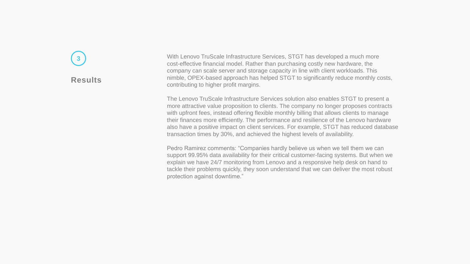#### **Results**

**3** Your Mith Lenovo TruScale Infrastructure Services, STGT has developed a much more cost-effective financial model. Rather than purchasing costly new hardware, the company can scale server and storage capacity in line with client workloads. This nimble, OPEX-based approach has helped STGT to significantly reduce monthly costs, contributing to higher profit margins.

> The Lenovo TruScale Infrastructure Services solution also enables STGT to present a more attractive value proposition to clients. The company no longer proposes contracts with upfront fees, instead offering flexible monthly billing that allows clients to manage their finances more efficiently. The performance and resilience of the Lenovo hardware also have a positive impact on client services. For example, STGT has reduced database transaction times by 30%, and achieved the highest levels of availability.

Pedro Ramirez comments: "Companies hardly believe us when we tell them we can support 99.95% data availability for their critical customer-facing systems. But when we explain we have 24/7 monitoring from Lenovo and a responsive help desk on hand to tackle their problems quickly, they soon understand that we can deliver the most robust protection against downtime."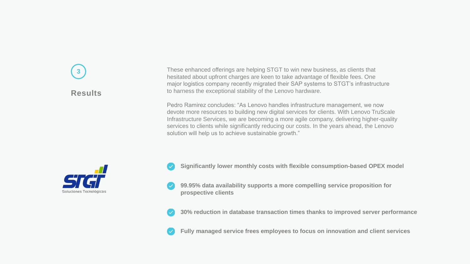## **Results 3**

These enhanced offerings are helping STGT to win new business, as clients that hesitated about upfront charges are keen to take advantage of flexible fees. One major logistics company recently migrated their SAP systems to STGT's infrastructure to harness the exceptional stability of the Lenovo hardware.

Pedro Ramirez concludes: "As Lenovo handles infrastructure management, we now devote more resources to building new digital services for clients. With Lenovo TruScale Infrastructure Services, we are becoming a more agile company, delivering higher-quality services to clients while significantly reducing our costs. In the years ahead, the Lenovo solution will help us to achieve sustainable growth."



- **Significantly lower monthly costs with flexible consumption-based OPEX model**
- **99.95% data availability supports a more compelling service proposition for prospective clients**
- **30% reduction in database transaction times thanks to improved server performance**
- **Fully managed service frees employees to focus on innovation and client services**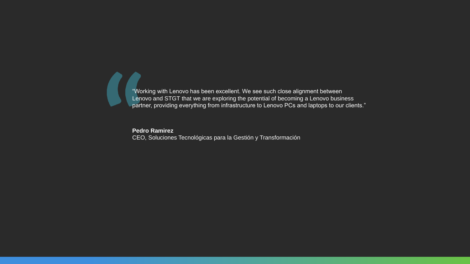"Working with Lenovo has been excellent. We see such close alignment between Lenovo and STGT that we are exploring the potential of becoming a Lenovo business partner, providing everything from infrastructure to Lenovo PCs and laptops to our clients."

**Pedro Ramirez**

 $\blacksquare$ 

CEO, Soluciones Tecnológicas para la Gestión y Transformación